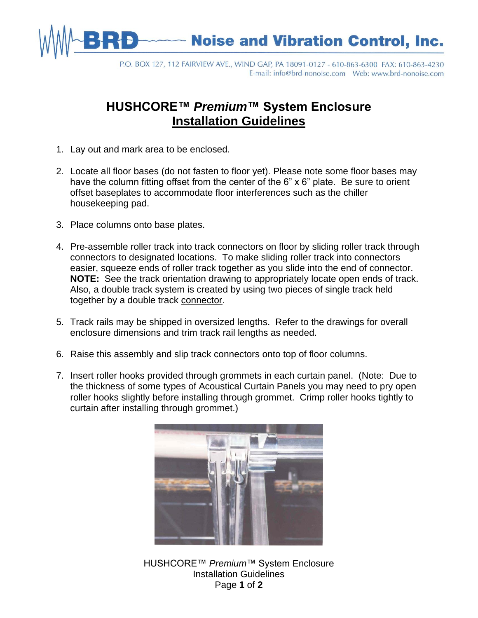

P.O. BOX 127, 112 FAIRVIEW AVE., WIND GAP, PA 18091-0127 - 610-863-6300 FAX: 610-863-4230 

## **HUSHCORE™** *Premium***™ System Enclosure Installation Guidelines**

- 1. Lay out and mark area to be enclosed.
- 2. Locate all floor bases (do not fasten to floor yet). Please note some floor bases may have the column fitting offset from the center of the 6" x 6" plate. Be sure to orient offset baseplates to accommodate floor interferences such as the chiller housekeeping pad.
- 3. Place columns onto base plates.
- 4. Pre-assemble roller track into track connectors on floor by sliding roller track through connectors to designated locations. To make sliding roller track into connectors easier, squeeze ends of roller track together as you slide into the end of connector. **NOTE:** See the track orientation drawing to appropriately locate open ends of track. Also, a double track system is created by using two pieces of single track held together by a double track connector.
- 5. Track rails may be shipped in oversized lengths. Refer to the drawings for overall enclosure dimensions and trim track rail lengths as needed.
- 6. Raise this assembly and slip track connectors onto top of floor columns.
- 7. Insert roller hooks provided through grommets in each curtain panel. (Note: Due to the thickness of some types of Acoustical Curtain Panels you may need to pry open roller hooks slightly before installing through grommet. Crimp roller hooks tightly to curtain after installing through grommet.)



HUSHCORE™ *Premium*™ System Enclosure Installation Guidelines Page **1** of **2**